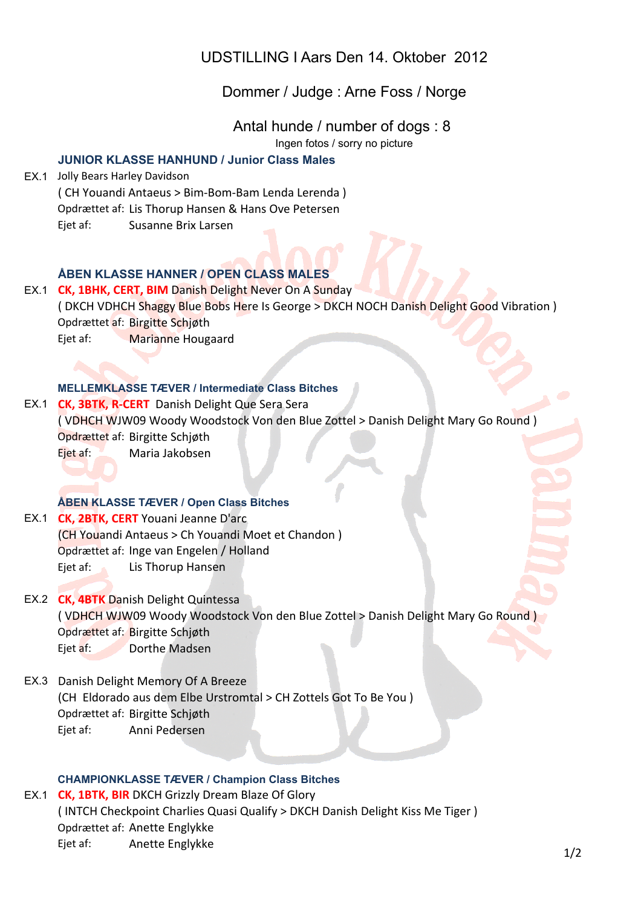UDSTILLING I Aars Den 14. Oktober 2012

# Dommer / Judge : Arne Foss / Norge

Antal hunde / number of dogs : 8

Ingen fotos / sorry no picture

## **JUNIOR KLASSE HANHUND / Junior Class Males**

EX.1 Jolly Bears Harley Davidson ( CH Youandi Antaeus > Bim-Bom-Bam Lenda Lerenda ) Opdrættet af: Lis Thorup Hansen & Hans Ove Petersen Ejet af: Susanne Brix Larsen

## **ÅBEN KLASSE HANNER / OPEN CLASS MALES**

EX.1 **CK, 1BHK, CERT, BIM** Danish Delight Never On A Sunday ( DKCH VDHCH Shaggy Blue Bobs Here Is George > DKCH NOCH Danish Delight Good Vibration ) Opdrættet af: Birgitte Schjøth

Ejet af: Marianne Hougaard

#### **MELLEMKLASSE TÆVER / Intermediate Class Bitches**

EX.1 **CK, 3BTK, R-CERT** Danish Delight Que Sera Sera ( VDHCH WJW09 Woody Woodstock Von den Blue Zottel > Danish Delight Mary Go Round ) Opdrættet af: Birgitte Schjøth Ejet af: Maria Jakobsen

### **ÅBEN KLASSE TÆVER / Open Class Bitches**

EX.1 **CK, 2BTK, CERT** Youani Jeanne D'arc (CH Youandi Antaeus > Ch Youandi Moet et Chandon) Opdrættet af: Inge van Engelen / Holland Eiet af: Lis Thorup Hansen

- EX.2 **CK, 4BTK** Danish Delight Quintessa ( VDHCH WJW09 Woody Woodstock Von den Blue Zottel > Danish Delight Mary Go Round) Opdrættet af: Birgitte Schiøth Ejet af: Dorthe Madsen
- EX.3 Danish Delight Memory Of A Breeze (CH Eldorado aus dem Elbe Urstromtal > CH Zottels Got To Be You ) Opdrættet af: Birgitte Schiøth Eiet af: Anni Pedersen

#### **CHAMPIONKLASSE TÆVER / Champion Class Bitches**

EX.1 **CK, 1BTK, BIR** DKCH Grizzly Dream Blaze Of Glory ( INTCH Checkpoint Charlies Quasi Qualify > DKCH Danish Delight Kiss Me Tiger ) Opdrættet af: Anette Englykke Ejet af: Anette Englykke